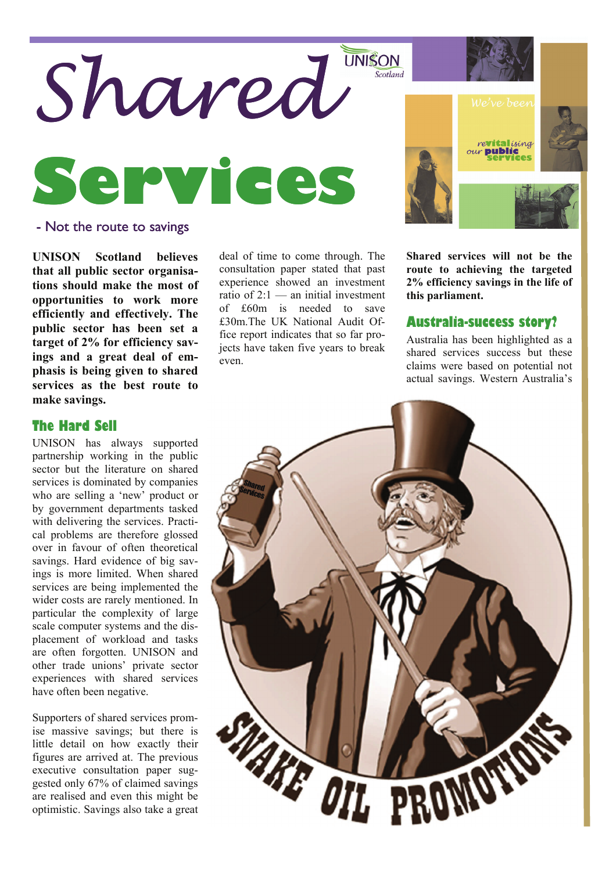

### - Not the route to savings

**UNISON Scotland believes that all public sector organisations should make the most of opportunities to work more efficiently and effectively. The public sector has been set a target of 2% for efficiency savings and a great deal of emphasis is being given to shared services as the best route to make savings.** 

## **The Hard Sell**

UNISON has always supported partnership working in the public sector but the literature on shared services is dominated by companies who are selling a 'new' product or by government departments tasked with delivering the services. Practical problems are therefore glossed over in favour of often theoretical savings. Hard evidence of big savings is more limited. When shared services are being implemented the wider costs are rarely mentioned. In particular the complexity of large scale computer systems and the displacement of workload and tasks are often forgotten. UNISON and other trade unions' private sector experiences with shared services have often been negative.

Supporters of shared services promise massive savings; but there is little detail on how exactly their figures are arrived at. The previous executive consultation paper suggested only 67% of claimed savings are realised and even this might be optimistic. Savings also take a great

deal of time to come through. The consultation paper stated that past experience showed an investment ratio of  $2:1$  — an initial investment of £60m is needed to save £30m.The UK National Audit Office report indicates that so far projects have taken five years to break even.



**Shared services will not be the route to achieving the targeted 2% efficiency savings in the life of this parliament.** 

#### **Australia-success story?**

Australia has been highlighted as a shared services success but these claims were based on potential not actual savings. Western Australia's